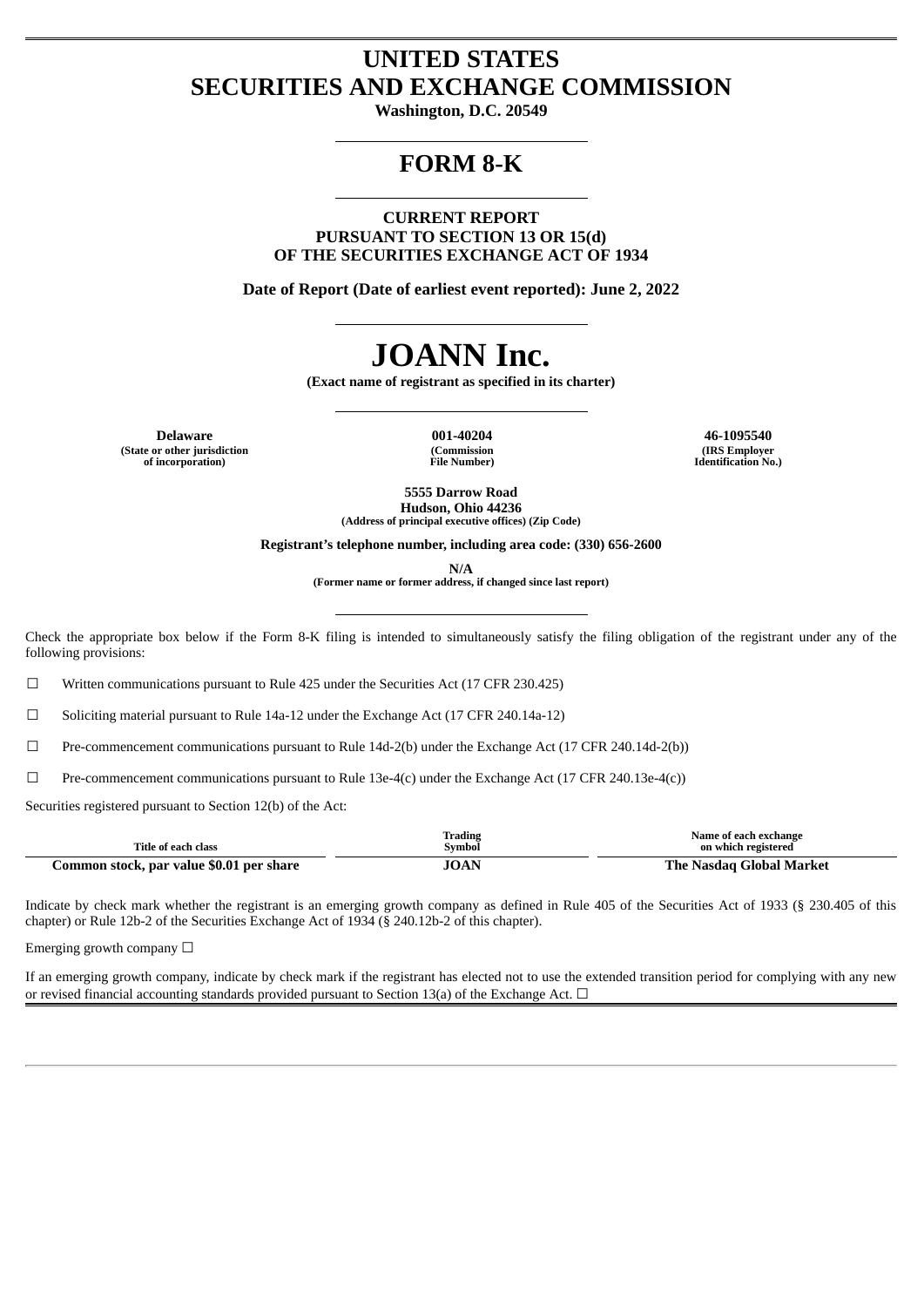# **UNITED STATES SECURITIES AND EXCHANGE COMMISSION**

**Washington, D.C. 20549**

# **FORM 8-K**

**CURRENT REPORT PURSUANT TO SECTION 13 OR 15(d) OF THE SECURITIES EXCHANGE ACT OF 1934**

**Date of Report (Date of earliest event reported): June 2, 2022**

# **JOANN Inc.**

**(Exact name of registrant as specified in its charter)**

**Delaware 001-40204 46-1095540 (State or other jurisdiction of incorporation)**

**(Commission File Number)**

**(IRS Employer Identification No.)**

**5555 Darrow Road Hudson, Ohio 44236 (Address of principal executive offices) (Zip Code)**

**Registrant's telephone number, including area code: (330) 656-2600**

**N/A**

**(Former name or former address, if changed since last report)**

Check the appropriate box below if the Form 8-K filing is intended to simultaneously satisfy the filing obligation of the registrant under any of the following provisions:

 $\Box$  Written communications pursuant to Rule 425 under the Securities Act (17 CFR 230.425)

☐ Soliciting material pursuant to Rule 14a-12 under the Exchange Act (17 CFR 240.14a-12)

☐ Pre-commencement communications pursuant to Rule 14d-2(b) under the Exchange Act (17 CFR 240.14d-2(b))

 $□$  Pre-commencement communications pursuant to Rule 13e-4(c) under the Exchange Act (17 CFR 240.13e-4(c))

Securities registered pursuant to Section 12(b) of the Act:

|                                          | Trading | Name of each exchange    |
|------------------------------------------|---------|--------------------------|
| Title of each class                      | Svmbol  | on which registered      |
| Common stock, par value \$0.01 per share | JOAN    | The Nasdag Global Market |

Indicate by check mark whether the registrant is an emerging growth company as defined in Rule 405 of the Securities Act of 1933 (§ 230.405 of this chapter) or Rule 12b-2 of the Securities Exchange Act of 1934 (§ 240.12b-2 of this chapter).

Emerging growth company  $\Box$ 

If an emerging growth company, indicate by check mark if the registrant has elected not to use the extended transition period for complying with any new or revised financial accounting standards provided pursuant to Section 13(a) of the Exchange Act.  $\Box$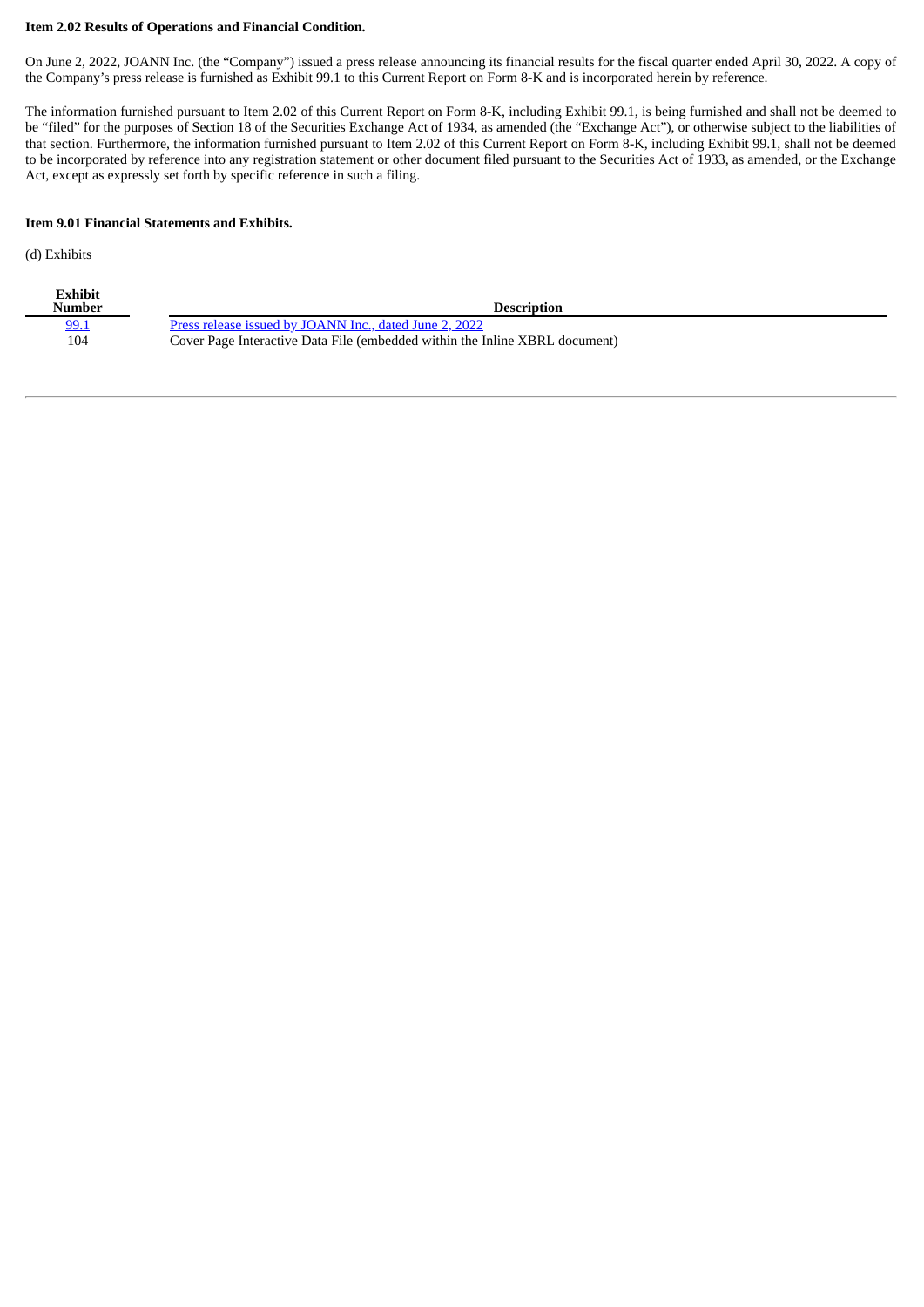#### **Item 2.02 Results of Operations and Financial Condition.**

On June 2, 2022, JOANN Inc. (the "Company") issued a press release announcing its financial results for the fiscal quarter ended April 30, 2022. A copy of the Company's press release is furnished as Exhibit 99.1 to this Current Report on Form 8-K and is incorporated herein by reference.

The information furnished pursuant to Item 2.02 of this Current Report on Form 8-K, including Exhibit 99.1, is being furnished and shall not be deemed to be "filed" for the purposes of Section 18 of the Securities Exchange Act of 1934, as amended (the "Exchange Act"), or otherwise subject to the liabilities of that section. Furthermore, the information furnished pursuant to Item 2.02 of this Current Report on Form 8-K, including Exhibit 99.1, shall not be deemed to be incorporated by reference into any registration statement or other document filed pursuant to the Securities Act of 1933, as amended, or the Exchange Act, except as expressly set forth by specific reference in such a filing.

# **Item 9.01 Financial Statements and Exhibits.**

(d) Exhibits

| <b>Exhibit</b><br>Number | <b>Description</b>                                                          |
|--------------------------|-----------------------------------------------------------------------------|
| <u>99.1</u>              | Press release issued by JOANN Inc., dated June 2, 2022                      |
| 104                      | Cover Page Interactive Data File (embedded within the Inline XBRL document) |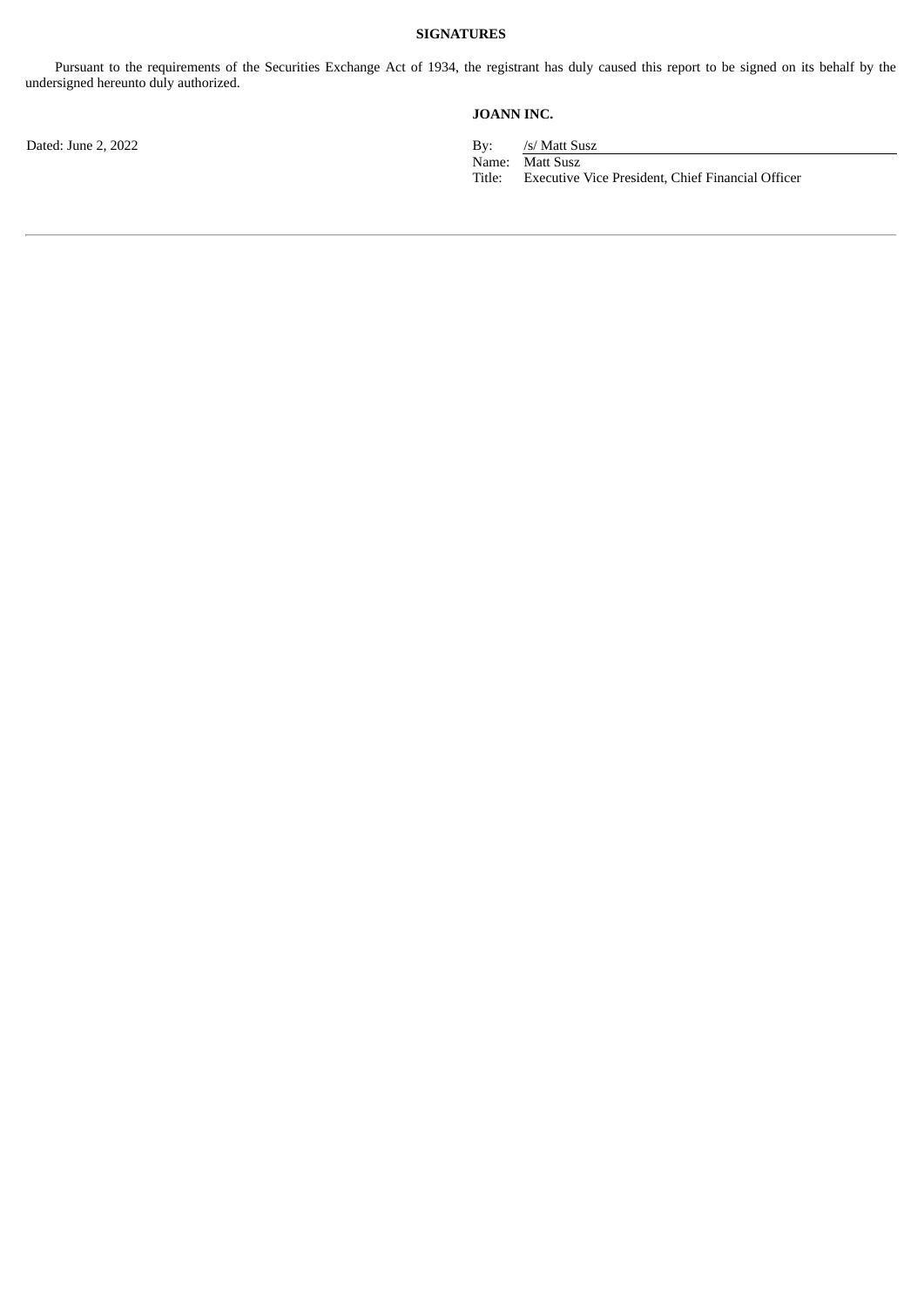#### **SIGNATURES**

Pursuant to the requirements of the Securities Exchange Act of 1934, the registrant has duly caused this report to be signed on its behalf by the undersigned hereunto duly authorized.

# **JOANN INC.**

Name: Matt Susz

Title: Executive Vice President, Chief Financial Officer

Dated: June 2, 2022 By: /s/ Matt Susz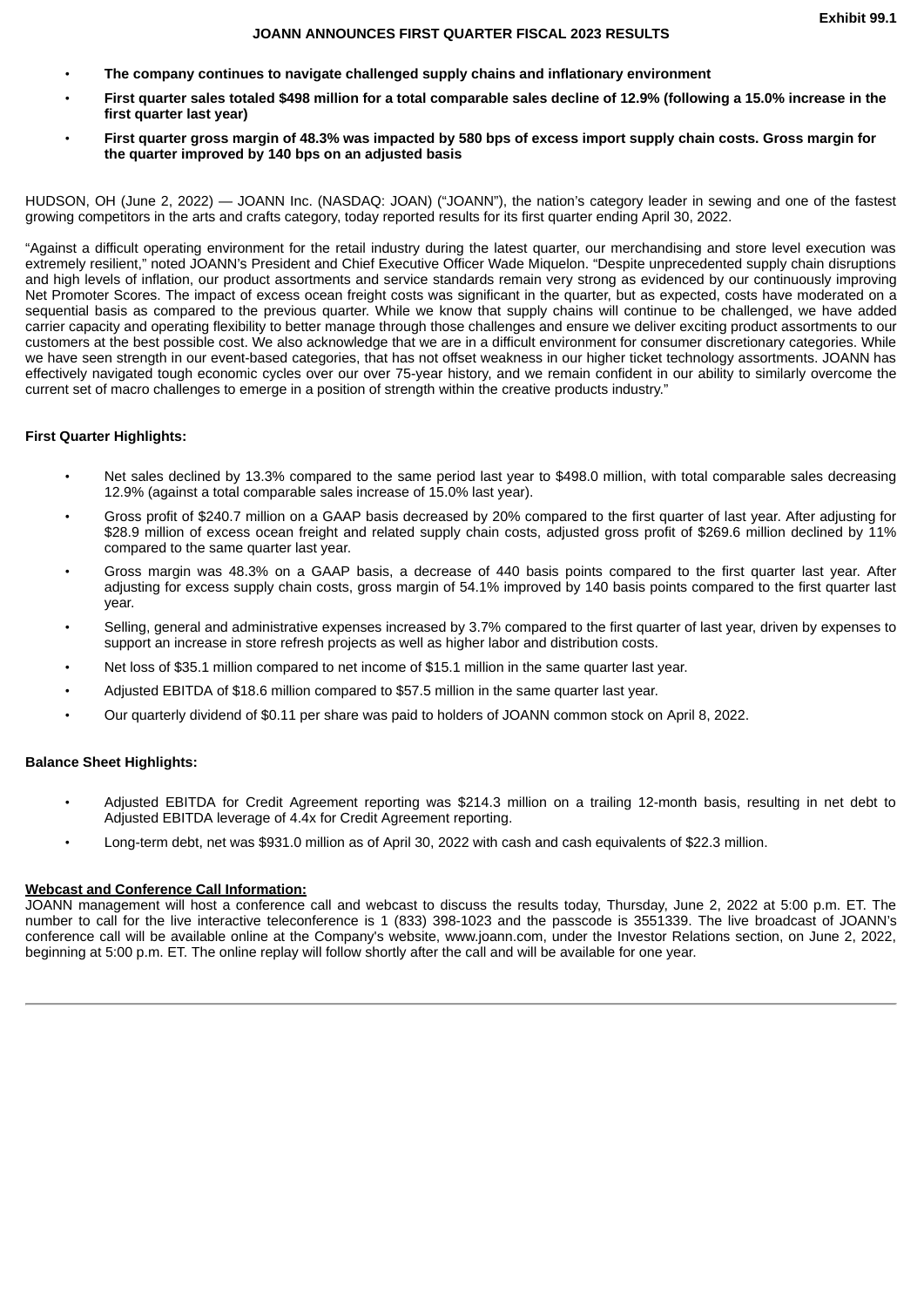- <span id="page-3-0"></span>• **The company continues to navigate challenged supply chains and inflationary environment**
- First quarter sales totaled \$498 million for a total comparable sales decline of 12.9% (following a 15.0% increase in the **first quarter last year)**
- First quarter gross margin of 48.3% was impacted by 580 bps of excess import supply chain costs. Gross margin for **the quarter improved by 140 bps on an adjusted basis**

HUDSON, OH (June 2, 2022) — JOANN Inc. (NASDAQ: JOAN) ("JOANN"), the nation's category leader in sewing and one of the fastest growing competitors in the arts and crafts category, today reported results for its first quarter ending April 30, 2022.

"Against a difficult operating environment for the retail industry during the latest quarter, our merchandising and store level execution was extremely resilient," noted JOANN's President and Chief Executive Officer Wade Miquelon. "Despite unprecedented supply chain disruptions and high levels of inflation, our product assortments and service standards remain very strong as evidenced by our continuously improving Net Promoter Scores. The impact of excess ocean freight costs was significant in the quarter, but as expected, costs have moderated on a sequential basis as compared to the previous quarter. While we know that supply chains will continue to be challenged, we have added carrier capacity and operating flexibility to better manage through those challenges and ensure we deliver exciting product assortments to our customers at the best possible cost. We also acknowledge that we are in a difficult environment for consumer discretionary categories. While we have seen strength in our event-based categories, that has not offset weakness in our higher ticket technology assortments. JOANN has effectively navigated tough economic cycles over our over 75-year history, and we remain confident in our ability to similarly overcome the current set of macro challenges to emerge in a position of strength within the creative products industry."

#### **First Quarter Highlights:**

- Net sales declined by 13.3% compared to the same period last year to \$498.0 million, with total comparable sales decreasing 12.9% (against a total comparable sales increase of 15.0% last year).
- Gross profit of \$240.7 million on a GAAP basis decreased by 20% compared to the first quarter of last year. After adjusting for \$28.9 million of excess ocean freight and related supply chain costs, adjusted gross profit of \$269.6 million declined by 11% compared to the same quarter last year.
- Gross margin was 48.3% on a GAAP basis, a decrease of 440 basis points compared to the first quarter last year. After adjusting for excess supply chain costs, gross margin of 54.1% improved by 140 basis points compared to the first quarter last year.
- Selling, general and administrative expenses increased by 3.7% compared to the first quarter of last year, driven by expenses to support an increase in store refresh projects as well as higher labor and distribution costs.
- Net loss of \$35.1 million compared to net income of \$15.1 million in the same quarter last year.
- Adjusted EBITDA of \$18.6 million compared to \$57.5 million in the same quarter last year.
- Our quarterly dividend of \$0.11 per share was paid to holders of JOANN common stock on April 8, 2022.

## **Balance Sheet Highlights:**

- Adjusted EBITDA for Credit Agreement reporting was \$214.3 million on a trailing 12-month basis, resulting in net debt to Adjusted EBITDA leverage of 4.4x for Credit Agreement reporting.
- Long-term debt, net was \$931.0 million as of April 30, 2022 with cash and cash equivalents of \$22.3 million.

#### **Webcast and Conference Call Information:**

JOANN management will host a conference call and webcast to discuss the results today, Thursday, June 2, 2022 at 5:00 p.m. ET. The number to call for the live interactive teleconference is 1 (833) 398-1023 and the passcode is 3551339. The live broadcast of JOANN's conference call will be available online at the Company's website, www.joann.com, under the Investor Relations section, on June 2, 2022, beginning at 5:00 p.m. ET. The online replay will follow shortly after the call and will be available for one year.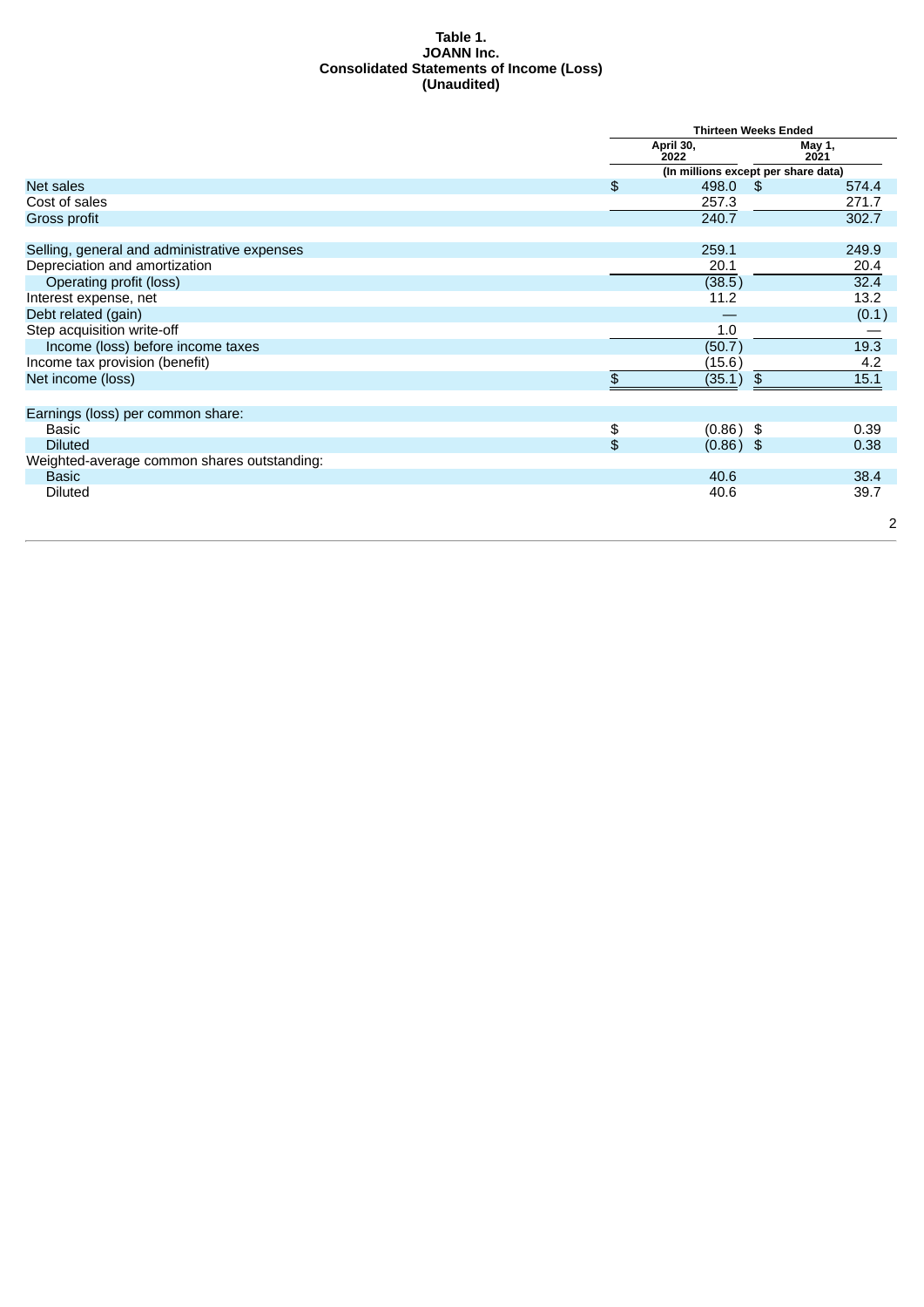#### **Table 1. JOANN Inc. Consolidated Statements of Income (Loss) (Unaudited)**

|                                              |                | <b>Thirteen Weeks Ended</b>         |       |  |
|----------------------------------------------|----------------|-------------------------------------|-------|--|
|                                              |                | April 30,<br>May 1,<br>2022         |       |  |
|                                              |                | (In millions except per share data) |       |  |
| Net sales                                    | $\mathfrak{D}$ | 498.0<br>- \$                       | 574.4 |  |
| Cost of sales                                |                | 257.3                               | 271.7 |  |
| Gross profit                                 |                | 240.7                               | 302.7 |  |
| Selling, general and administrative expenses |                | 259.1                               | 249.9 |  |
| Depreciation and amortization                |                | 20.1                                | 20.4  |  |
| Operating profit (loss)                      |                | (38.5)                              | 32.4  |  |
| Interest expense, net                        |                | 11.2                                | 13.2  |  |
| Debt related (gain)                          |                |                                     | (0.1) |  |
| Step acquisition write-off                   |                | 1.0                                 |       |  |
| Income (loss) before income taxes            |                | (50.7)                              | 19.3  |  |
| Income tax provision (benefit)               |                | (15.6)                              | 4.2   |  |
| Net income (loss)                            | \$             | (35.1)<br>\$                        | 15.1  |  |
| Earnings (loss) per common share:            |                |                                     |       |  |
| <b>Basic</b>                                 | \$             | $(0.86)$ \$                         | 0.39  |  |
| <b>Diluted</b>                               | \$             | $(0.86)$ \$                         | 0.38  |  |
| Weighted-average common shares outstanding:  |                |                                     |       |  |
| <b>Basic</b>                                 |                | 40.6                                | 38.4  |  |
| <b>Diluted</b>                               |                | 40.6                                | 39.7  |  |
|                                              |                |                                     | 2     |  |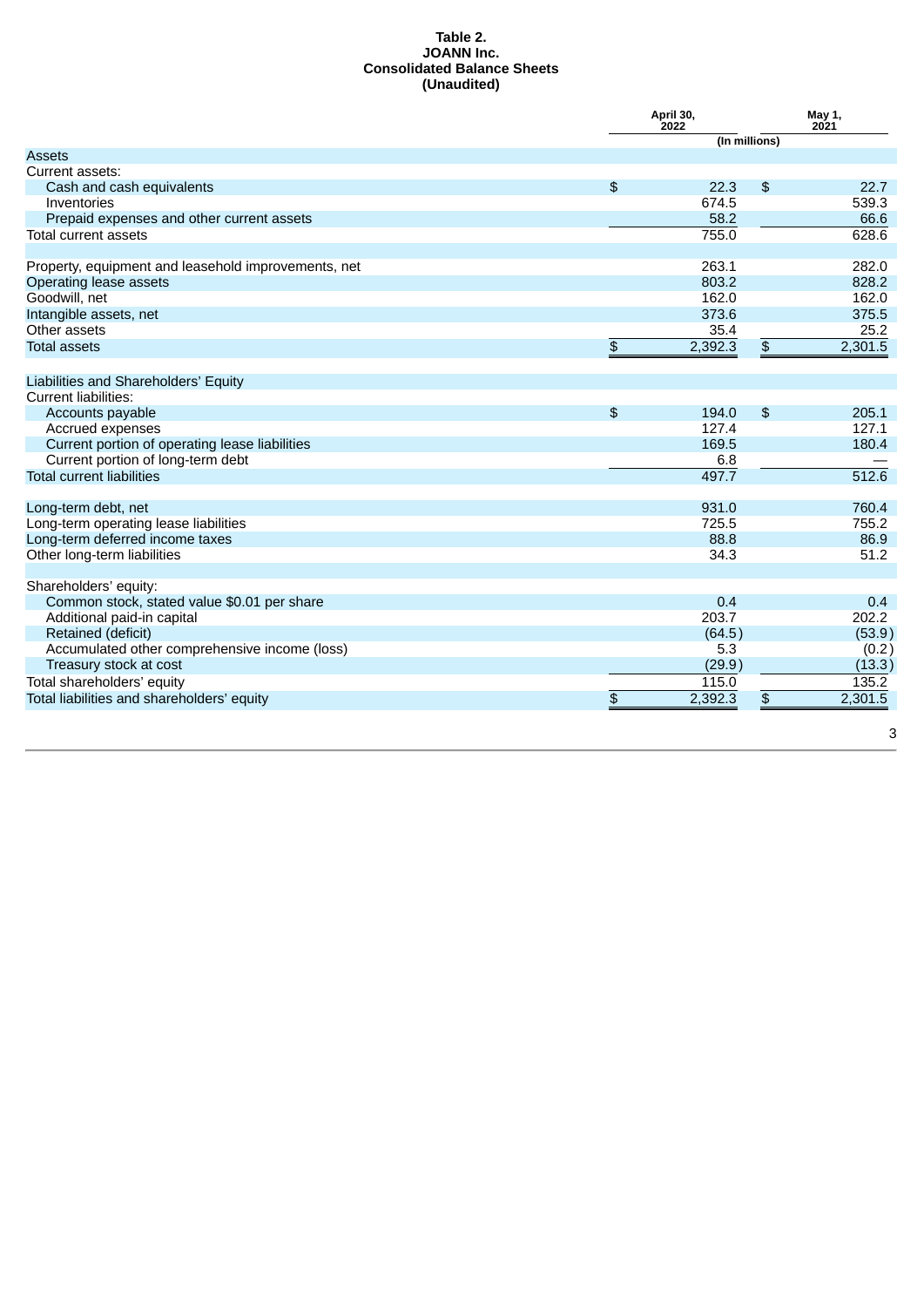#### **Table 2. JOANN Inc. Consolidated Balance Sheets (Unaudited)**

|                                                     |                       | April 30,<br>2022 |                         | May 1,<br>2021 |
|-----------------------------------------------------|-----------------------|-------------------|-------------------------|----------------|
|                                                     |                       | (In millions)     |                         |                |
| <b>Assets</b>                                       |                       |                   |                         |                |
| Current assets:                                     |                       |                   |                         |                |
| Cash and cash equivalents                           | $\mathfrak{D}$        | 22.3              | \$                      | 22.7           |
| Inventories                                         |                       | 674.5             |                         | 539.3          |
| Prepaid expenses and other current assets           |                       | 58.2              |                         | 66.6           |
| <b>Total current assets</b>                         |                       | 755.0             |                         | 628.6          |
|                                                     |                       |                   |                         |                |
| Property, equipment and leasehold improvements, net |                       | 263.1             |                         | 282.0          |
| Operating lease assets                              |                       | 803.2             |                         | 828.2          |
| Goodwill, net                                       |                       | 162.0             |                         | 162.0          |
| Intangible assets, net                              |                       | 373.6             |                         | 375.5          |
| Other assets                                        |                       | 35.4              |                         | 25.2           |
| <b>Total assets</b>                                 | $\boldsymbol{\theta}$ | 2,392.3           | $\overline{\mathbf{r}}$ | 2,301.5        |
|                                                     |                       |                   |                         |                |
| Liabilities and Shareholders' Equity                |                       |                   |                         |                |
| <b>Current liabilities:</b>                         |                       |                   |                         |                |
| Accounts payable                                    | $\mathfrak{D}$        | 194.0             | \$                      | 205.1          |
| Accrued expenses                                    |                       | 127.4             |                         | 127.1          |
| Current portion of operating lease liabilities      |                       | 169.5             |                         | 180.4          |
| Current portion of long-term debt                   |                       | 6.8               |                         |                |
| <b>Total current liabilities</b>                    |                       | 497.7             |                         | 512.6          |
|                                                     |                       |                   |                         |                |
| Long-term debt, net                                 |                       | 931.0             |                         | 760.4          |
| Long-term operating lease liabilities               |                       | 725.5             |                         | 755.2          |
| Long-term deferred income taxes                     |                       | 88.8              |                         | 86.9           |
| Other long-term liabilities                         |                       | 34.3              |                         | 51.2           |
|                                                     |                       |                   |                         |                |
| Shareholders' equity:                               |                       |                   |                         |                |
| Common stock, stated value \$0.01 per share         |                       | 0.4               |                         | 0.4            |
| Additional paid-in capital                          |                       | 203.7             |                         | 202.2          |
| Retained (deficit)                                  |                       | (64.5)            |                         | (53.9)         |
| Accumulated other comprehensive income (loss)       |                       | 5.3               |                         | (0.2)          |
| Treasury stock at cost                              |                       | (29.9)            |                         | (13.3)         |
| Total shareholders' equity                          |                       | 115.0             |                         | 135.2          |
| Total liabilities and shareholders' equity          | \$                    | 2,392.3           | $\frac{1}{2}$           | 2,301.5        |
|                                                     |                       |                   |                         |                |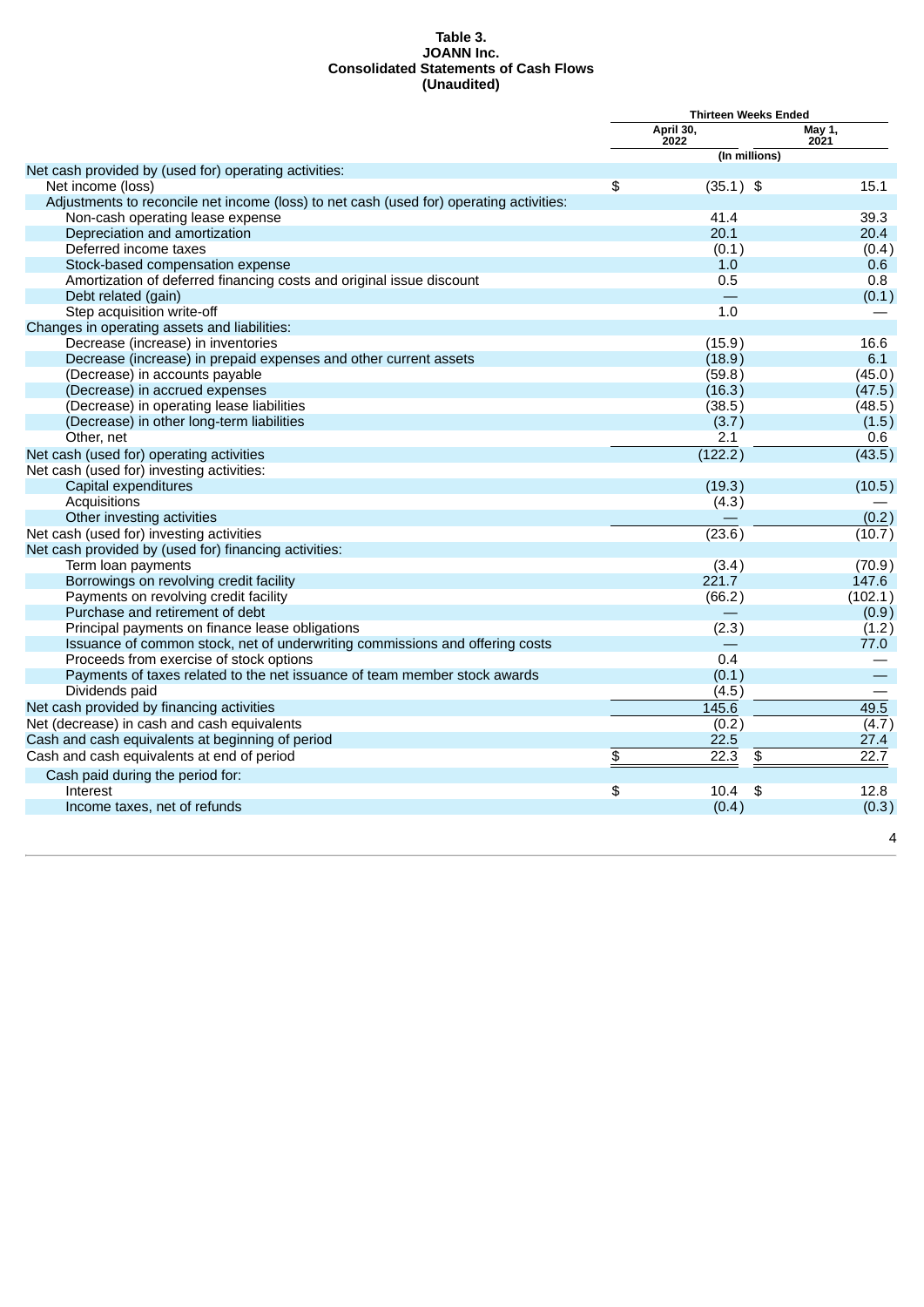#### **Table 3. JOANN Inc. Consolidated Statements of Cash Flows (Unaudited)**

|                                                                                         | <b>Thirteen Weeks Ended</b> |                   |                         |                |
|-----------------------------------------------------------------------------------------|-----------------------------|-------------------|-------------------------|----------------|
|                                                                                         |                             | April 30,<br>2022 |                         | May 1,<br>2021 |
|                                                                                         |                             | (In millions)     |                         |                |
| Net cash provided by (used for) operating activities:                                   |                             |                   |                         |                |
| Net income (loss)                                                                       | \$                          | $(35.1)$ \$       |                         | 15.1           |
| Adjustments to reconcile net income (loss) to net cash (used for) operating activities: |                             |                   |                         |                |
| Non-cash operating lease expense                                                        |                             | 41.4              |                         | 39.3           |
| Depreciation and amortization                                                           |                             | 20.1              |                         | 20.4           |
| Deferred income taxes                                                                   |                             | (0.1)             |                         | (0.4)          |
| Stock-based compensation expense                                                        |                             | 1.0               |                         | 0.6            |
| Amortization of deferred financing costs and original issue discount                    |                             | 0.5               |                         | 0.8            |
| Debt related (gain)                                                                     |                             |                   |                         | (0.1)          |
| Step acquisition write-off                                                              |                             | 1.0               |                         |                |
| Changes in operating assets and liabilities:                                            |                             |                   |                         |                |
| Decrease (increase) in inventories                                                      |                             | (15.9)            |                         | 16.6           |
| Decrease (increase) in prepaid expenses and other current assets                        |                             | (18.9)            |                         | 6.1            |
| (Decrease) in accounts payable                                                          |                             | (59.8)            |                         | (45.0)         |
| (Decrease) in accrued expenses                                                          |                             | (16.3)            |                         | (47.5)         |
| (Decrease) in operating lease liabilities                                               |                             | (38.5)            |                         | (48.5)         |
| (Decrease) in other long-term liabilities                                               |                             | (3.7)             |                         | (1.5)          |
| Other, net                                                                              |                             | 2.1               |                         | 0.6            |
| Net cash (used for) operating activities                                                |                             | (122.2)           |                         | (43.5)         |
| Net cash (used for) investing activities:                                               |                             |                   |                         |                |
| Capital expenditures                                                                    |                             | (19.3)            |                         | (10.5)         |
| Acquisitions                                                                            |                             | (4.3)             |                         |                |
| Other investing activities                                                              |                             |                   |                         | (0.2)          |
| Net cash (used for) investing activities                                                |                             | (23.6)            |                         | (10.7)         |
| Net cash provided by (used for) financing activities:                                   |                             |                   |                         |                |
| Term loan payments                                                                      |                             | (3.4)             |                         | (70.9)         |
| Borrowings on revolving credit facility                                                 |                             | 221.7             |                         | 147.6          |
| Payments on revolving credit facility                                                   |                             | (66.2)            |                         | (102.1)        |
| Purchase and retirement of debt                                                         |                             |                   |                         | (0.9)          |
| Principal payments on finance lease obligations                                         |                             | (2.3)             |                         | (1.2)          |
| Issuance of common stock, net of underwriting commissions and offering costs            |                             |                   |                         | 77.0           |
| Proceeds from exercise of stock options                                                 |                             | 0.4               |                         |                |
| Payments of taxes related to the net issuance of team member stock awards               |                             | (0.1)             |                         |                |
| Dividends paid                                                                          |                             | (4.5)             |                         |                |
| Net cash provided by financing activities                                               |                             | 145.6             |                         | 49.5           |
| Net (decrease) in cash and cash equivalents                                             |                             | (0.2)             |                         | (4.7)          |
| Cash and cash equivalents at beginning of period                                        |                             | 22.5              |                         | 27.4           |
| Cash and cash equivalents at end of period                                              | \$                          | 22.3              | \$                      | 22.7           |
| Cash paid during the period for:                                                        |                             |                   |                         |                |
|                                                                                         | \$                          | 10.4              | $\overline{\mathbf{f}}$ | 12.8           |
|                                                                                         |                             |                   |                         |                |
| Interest<br>Income taxes, net of refunds                                                |                             | (0.4)             |                         | (0.3)          |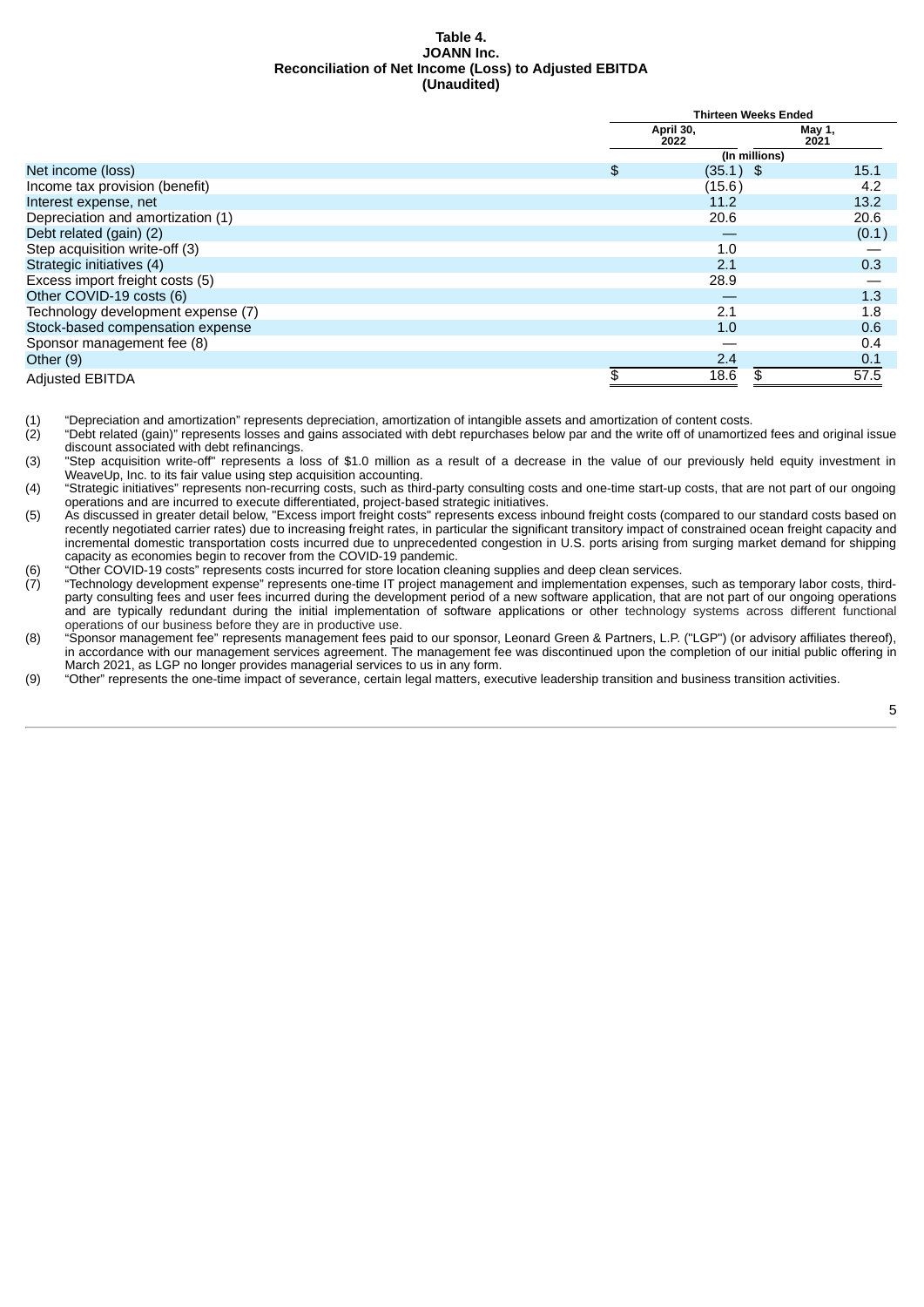#### **Table 4. JOANN Inc. Reconciliation of Net Income (Loss) to Adjusted EBITDA (Unaudited)**

|                                    |     | <b>Thirteen Weeks Ended</b> |                |  |
|------------------------------------|-----|-----------------------------|----------------|--|
|                                    |     | April 30,<br>2022           | May 1,<br>2021 |  |
|                                    |     | (In millions)               |                |  |
| Net income (loss)                  | \$  | $(35.1)$ \$                 | 15.1           |  |
| Income tax provision (benefit)     |     | (15.6)                      | 4.2            |  |
| Interest expense, net              |     | 11.2                        | 13.2           |  |
| Depreciation and amortization (1)  |     | 20.6                        | 20.6           |  |
| Debt related (gain) (2)            |     |                             | (0.1)          |  |
| Step acquisition write-off (3)     |     | 1.0                         |                |  |
| Strategic initiatives (4)          |     | 2.1                         | 0.3            |  |
| Excess import freight costs (5)    |     | 28.9                        |                |  |
| Other COVID-19 costs (6)           |     | __                          | 1.3            |  |
| Technology development expense (7) |     | 2.1                         | 1.8            |  |
| Stock-based compensation expense   |     | 1.0                         | 0.6            |  |
| Sponsor management fee (8)         |     |                             | 0.4            |  |
| Other $(9)$                        |     | 2.4                         | 0.1            |  |
| <b>Adjusted EBITDA</b>             | \$. | 18.6                        | 57.5           |  |

(1) "Depreciation and amortization" represents depreciation, amortization of intangible assets and amortization of content costs.<br>(2) "Debt related (gain)" represents losses and gains associated with debt repurchases below

(2) "Debt related (gain)" represents losses and gains associated with debt repurchases below par and the write off of unamortized fees and original issue discount associated with debt refinancings.

(3) "Step acquisition write-off" represents a loss of \$1.0 million as a result of a decrease in the value of our previously held equity investment in WeaveUp, Inc. to its fair value using step acquisition accounting.

(4) "Strategic initiatives" represents non-recurring costs, such as third-party consulting costs and one-time start-up costs, that are not part of our ongoing operations and are incurred to execute differentiated, project-based strategic initiatives.

(5) As discussed in greater detail below, "Excess import freight costs" represents excess inbound freight costs (compared to our standard costs based on recently negotiated carrier rates) due to increasing freight rates, in particular the significant transitory impact of constrained ocean freight capacity and incremental domestic transportation costs incurred due to unprecedented congestion in U.S. ports arising from surging market demand for shipping capacity as economies begin to recover from the COVID-19 pandemic.

(6) "Other COVID-19 costs" represents costs incurred for store location cleaning supplies and deep clean services.

(7) "Technology development expense" represents one-time IT project management and implementation expenses, such as temporary labor costs, thirdparty consulting fees and user fees incurred during the development period of a new software application, that are not part of our ongoing operations and are typically redundant during the initial implementation of software applications or other technology systems across different functional operations of our business before they are in productive use.

(8) "Sponsor management fee" represents management fees paid to our sponsor, Leonard Green & Partners, L.P. ("LGP") (or advisory affiliates thereof), in accordance with our management services agreement. The management fee was discontinued upon the completion of our initial public offering in March 2021, as LGP no longer provides managerial services to us in any form.

(9) "Other" represents the one-time impact of severance, certain legal matters, executive leadership transition and business transition activities.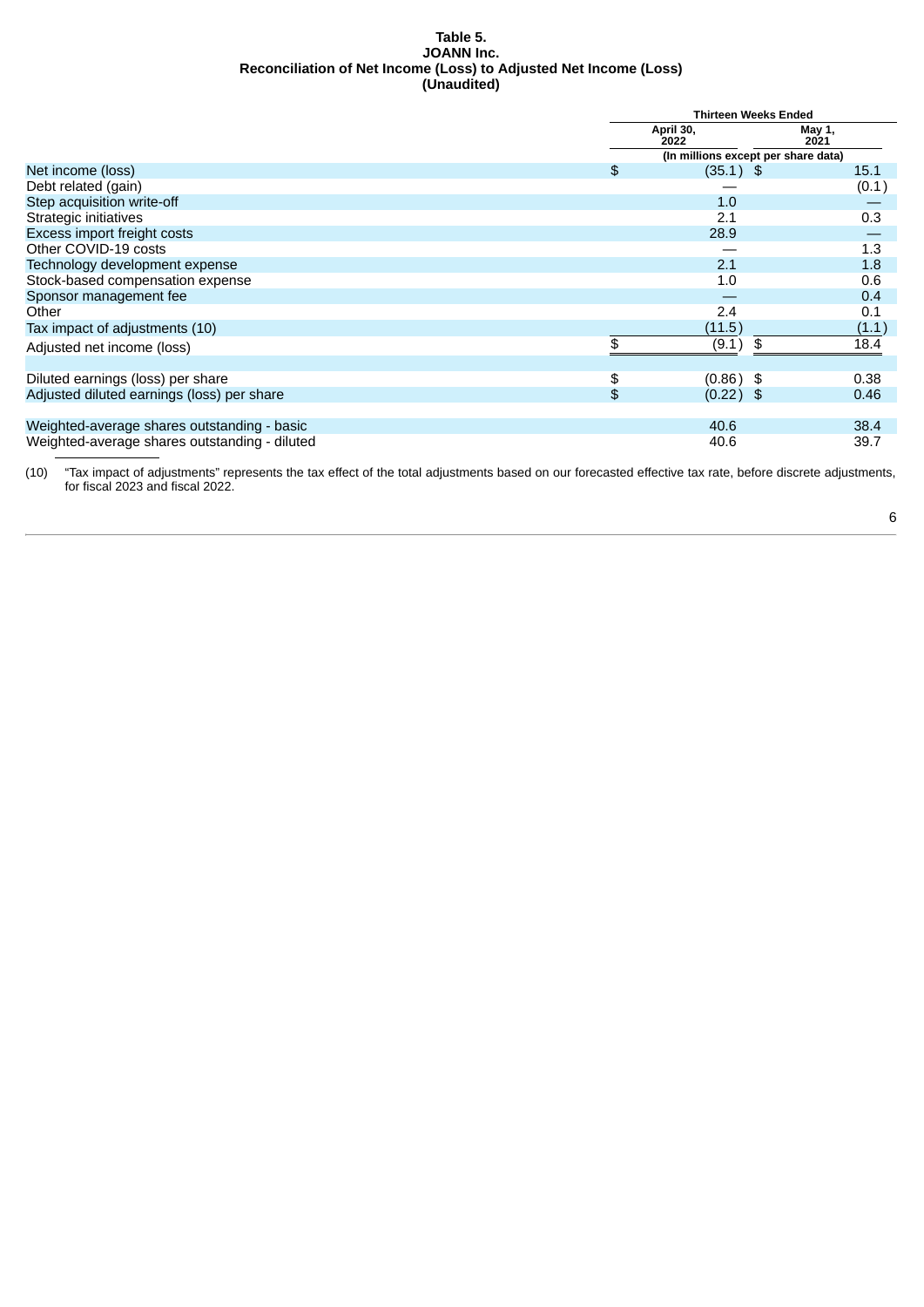#### **Table 5. JOANN Inc. Reconciliation of Net Income (Loss) to Adjusted Net Income (Loss) (Unaudited)**

|                                               | <b>Thirteen Weeks Ended</b>         |                |  |
|-----------------------------------------------|-------------------------------------|----------------|--|
|                                               | April 30,<br>2022                   | May 1,<br>2021 |  |
|                                               | (In millions except per share data) |                |  |
| Net income (loss)                             | \$<br>$(35.1)$ \$                   | 15.1           |  |
| Debt related (gain)                           |                                     | (0.1)          |  |
| Step acquisition write-off                    | 1.0                                 |                |  |
| Strategic initiatives                         | 2.1                                 | 0.3            |  |
| Excess import freight costs                   | 28.9                                |                |  |
| Other COVID-19 costs                          |                                     | 1.3            |  |
| Technology development expense                | 2.1                                 | 1.8            |  |
| Stock-based compensation expense              | 1.0                                 | 0.6            |  |
| Sponsor management fee                        |                                     | 0.4            |  |
| Other                                         | 2.4                                 | 0.1            |  |
| Tax impact of adjustments (10)                | (11.5)                              | (1.1)          |  |
| Adjusted net income (loss)                    | (9.1)                               | 18.4<br>\$     |  |
|                                               |                                     |                |  |
| Diluted earnings (loss) per share             | \$<br>$(0.86)$ \$                   | 0.38           |  |
| Adjusted diluted earnings (loss) per share    | \$<br>$(0.22)$ \$                   | 0.46           |  |
|                                               |                                     |                |  |
| Weighted-average shares outstanding - basic   | 40.6                                | 38.4           |  |
| Weighted-average shares outstanding - diluted | 40.6                                | 39.7           |  |

(10) "Tax impact of adjustments" represents the tax effect of the total adjustments based on our forecasted effective tax rate, before discrete adjustments, for fiscal 2023 and fiscal 2022.

6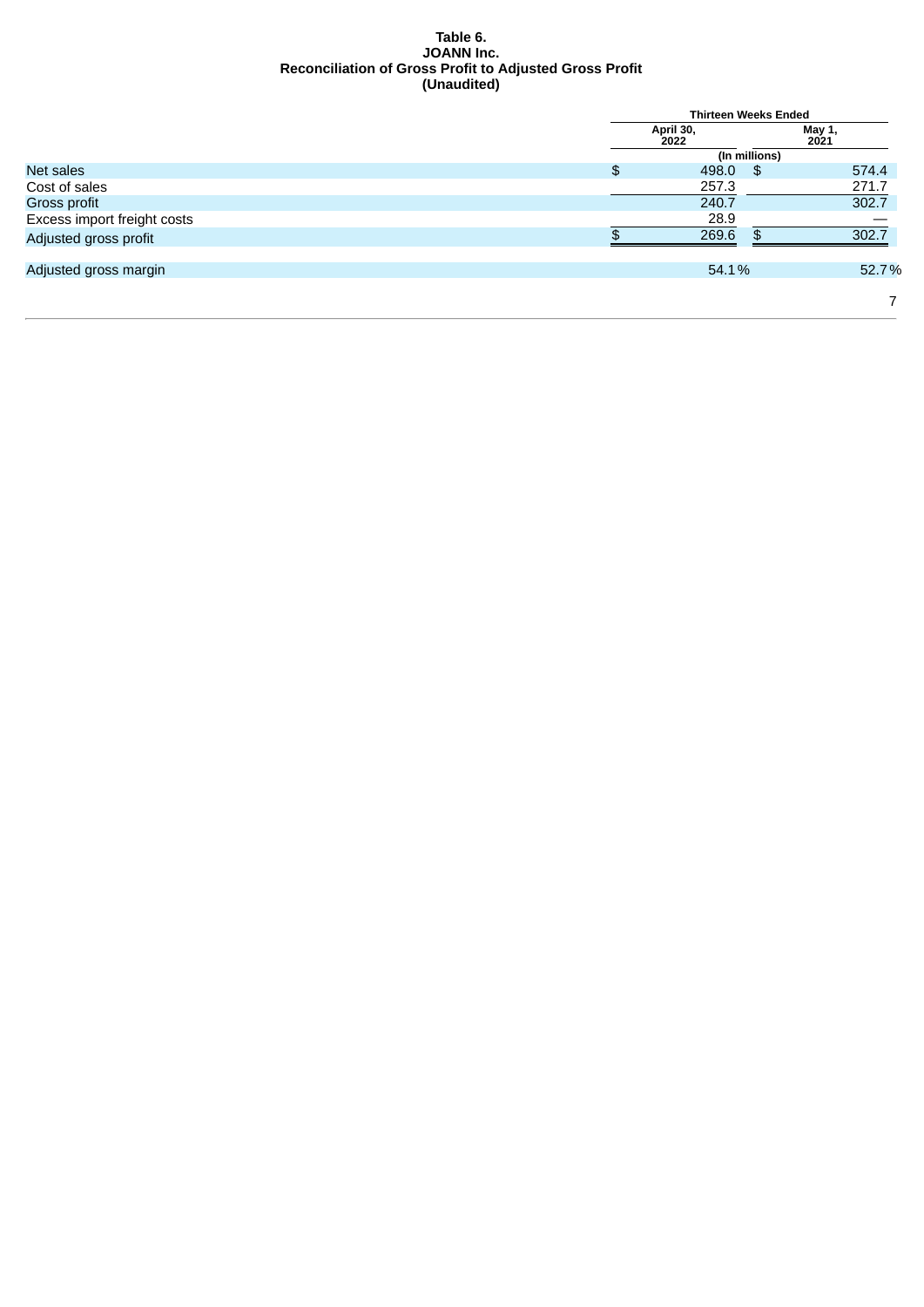#### **Table 6. JOANN Inc. Reconciliation of Gross Profit to Adjusted Gross Profit (Unaudited)**

|                             | <b>Thirteen Weeks Ended</b> |               |                |  |
|-----------------------------|-----------------------------|---------------|----------------|--|
|                             | April 30,<br>2022           |               | May 1,<br>2021 |  |
|                             |                             | (In millions) |                |  |
| Net sales                   | \$<br>498.0                 | $\sqrt{3}$    | 574.4          |  |
| Cost of sales               | 257.3                       |               | 271.7          |  |
| Gross profit                | 240.7                       |               | 302.7          |  |
| Excess import freight costs | 28.9                        |               |                |  |
| Adjusted gross profit       | 269.6                       | \$            | 302.7          |  |
| Adjusted gross margin       | 54.1%                       |               | 52.7%          |  |
|                             |                             |               |                |  |
|                             |                             |               |                |  |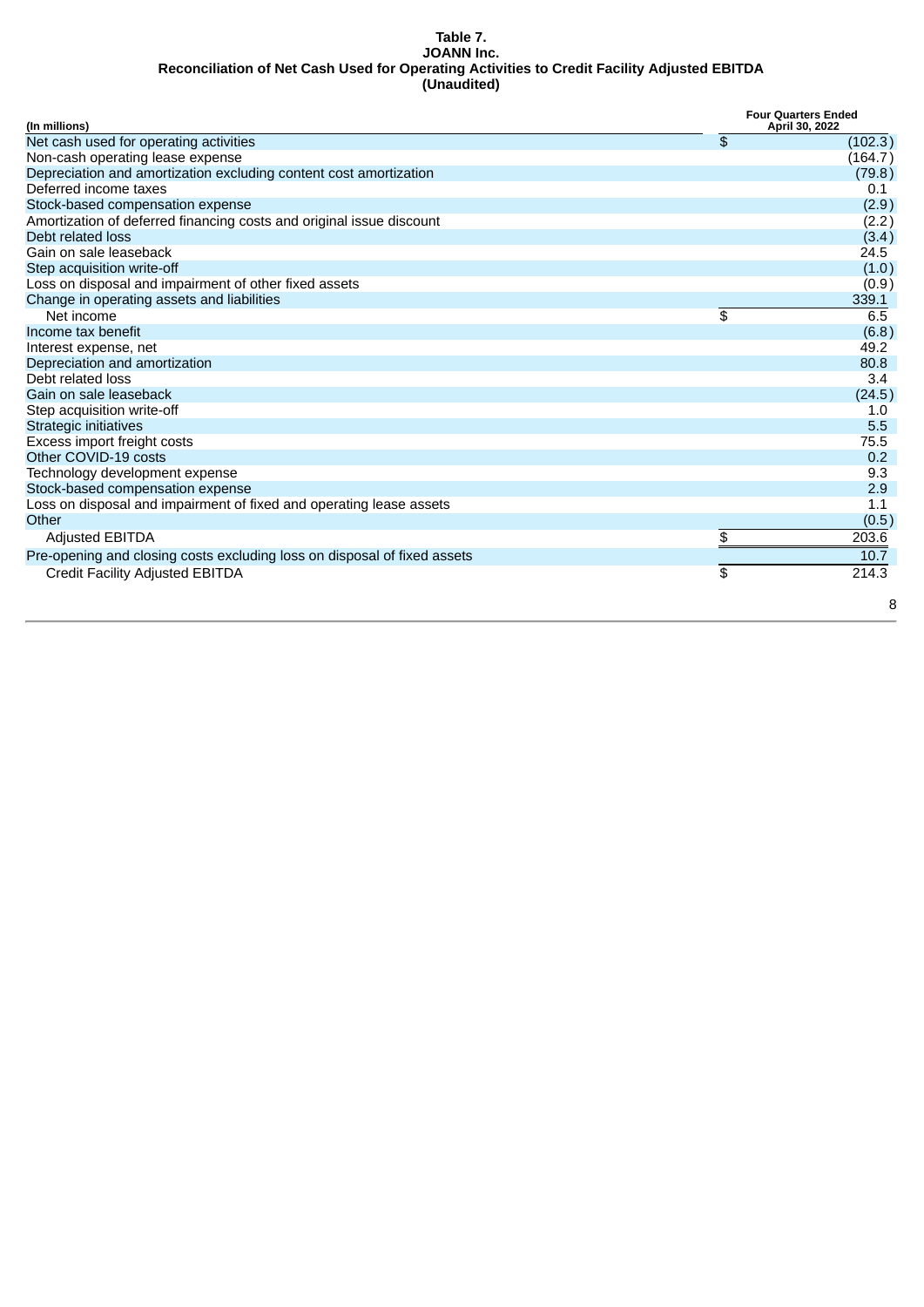#### **Table 7. JOANN Inc. Reconciliation of Net Cash Used for Operating Activities to Credit Facility Adjusted EBITDA (Unaudited)**

| (In millions)                                                            | <b>Four Quarters Ended</b><br>April 30, 2022 |         |
|--------------------------------------------------------------------------|----------------------------------------------|---------|
| Net cash used for operating activities                                   | \$                                           | (102.3) |
| Non-cash operating lease expense                                         |                                              | (164.7) |
| Depreciation and amortization excluding content cost amortization        |                                              | (79.8)  |
| Deferred income taxes                                                    |                                              | 0.1     |
| Stock-based compensation expense                                         |                                              | (2.9)   |
| Amortization of deferred financing costs and original issue discount     |                                              | (2.2)   |
| Debt related loss                                                        |                                              | (3.4)   |
| Gain on sale leaseback                                                   |                                              | 24.5    |
| Step acquisition write-off                                               |                                              | (1.0)   |
| Loss on disposal and impairment of other fixed assets                    |                                              | (0.9)   |
| Change in operating assets and liabilities                               |                                              | 339.1   |
| Net income                                                               | \$                                           | 6.5     |
| Income tax benefit                                                       |                                              | (6.8)   |
| Interest expense, net                                                    |                                              | 49.2    |
| Depreciation and amortization                                            |                                              | 80.8    |
| Debt related loss                                                        |                                              | 3.4     |
| Gain on sale leaseback                                                   |                                              | (24.5)  |
| Step acquisition write-off                                               |                                              | 1.0     |
| Strategic initiatives                                                    |                                              | 5.5     |
| Excess import freight costs                                              |                                              | 75.5    |
| Other COVID-19 costs                                                     |                                              | 0.2     |
| Technology development expense                                           |                                              | 9.3     |
| Stock-based compensation expense                                         |                                              | 2.9     |
| Loss on disposal and impairment of fixed and operating lease assets      |                                              | 1.1     |
| Other                                                                    |                                              | (0.5)   |
| <b>Adjusted EBITDA</b>                                                   | \$                                           | 203.6   |
| Pre-opening and closing costs excluding loss on disposal of fixed assets |                                              | 10.7    |
| Credit Facility Adjusted EBITDA                                          | \$                                           | 214.3   |
|                                                                          |                                              | 8       |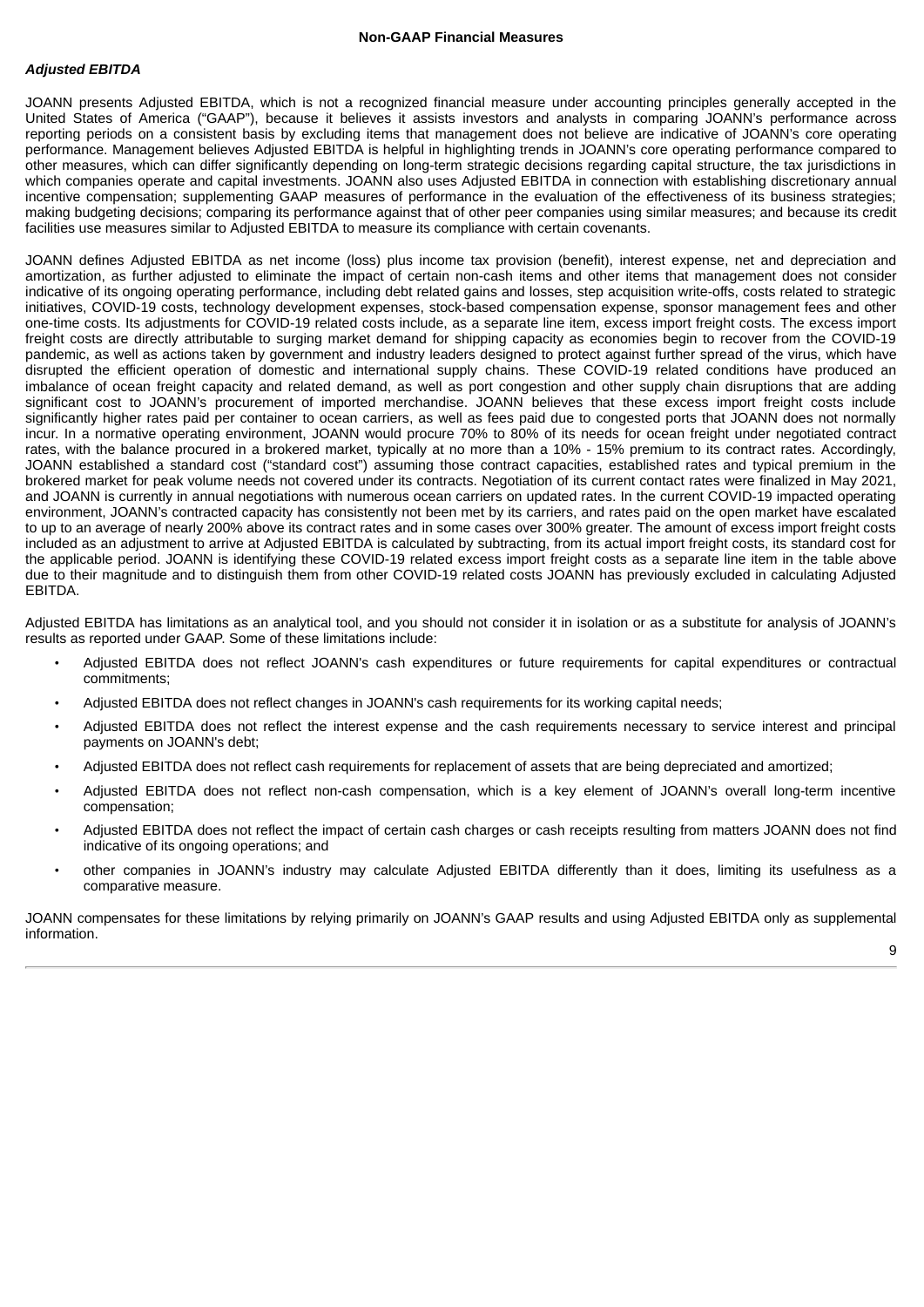# *Adjusted EBITDA*

JOANN presents Adjusted EBITDA, which is not a recognized financial measure under accounting principles generally accepted in the United States of America ("GAAP"), because it believes it assists investors and analysts in comparing JOANN's performance across reporting periods on a consistent basis by excluding items that management does not believe are indicative of JOANN's core operating performance. Management believes Adjusted EBITDA is helpful in highlighting trends in JOANN's core operating performance compared to other measures, which can differ significantly depending on long-term strategic decisions regarding capital structure, the tax jurisdictions in which companies operate and capital investments. JOANN also uses Adjusted EBITDA in connection with establishing discretionary annual incentive compensation; supplementing GAAP measures of performance in the evaluation of the effectiveness of its business strategies; making budgeting decisions; comparing its performance against that of other peer companies using similar measures; and because its credit facilities use measures similar to Adjusted EBITDA to measure its compliance with certain covenants.

JOANN defines Adjusted EBITDA as net income (loss) plus income tax provision (benefit), interest expense, net and depreciation and amortization, as further adjusted to eliminate the impact of certain non-cash items and other items that management does not consider indicative of its ongoing operating performance, including debt related gains and losses, step acquisition write-offs, costs related to strategic initiatives, COVID-19 costs, technology development expenses, stock-based compensation expense, sponsor management fees and other one-time costs. Its adjustments for COVID-19 related costs include, as a separate line item, excess import freight costs. The excess import freight costs are directly attributable to surging market demand for shipping capacity as economies begin to recover from the COVID-19 pandemic, as well as actions taken by government and industry leaders designed to protect against further spread of the virus, which have disrupted the efficient operation of domestic and international supply chains. These COVID-19 related conditions have produced an imbalance of ocean freight capacity and related demand, as well as port congestion and other supply chain disruptions that are adding significant cost to JOANN's procurement of imported merchandise. JOANN believes that these excess import freight costs include significantly higher rates paid per container to ocean carriers, as well as fees paid due to congested ports that JOANN does not normally incur. In a normative operating environment, JOANN would procure 70% to 80% of its needs for ocean freight under negotiated contract rates, with the balance procured in a brokered market, typically at no more than a 10% - 15% premium to its contract rates. Accordingly, JOANN established a standard cost ("standard cost") assuming those contract capacities, established rates and typical premium in the brokered market for peak volume needs not covered under its contracts. Negotiation of its current contact rates were finalized in May 2021, and JOANN is currently in annual negotiations with numerous ocean carriers on updated rates. In the current COVID-19 impacted operating environment, JOANN's contracted capacity has consistently not been met by its carriers, and rates paid on the open market have escalated to up to an average of nearly 200% above its contract rates and in some cases over 300% greater. The amount of excess import freight costs included as an adjustment to arrive at Adjusted EBITDA is calculated by subtracting, from its actual import freight costs, its standard cost for the applicable period. JOANN is identifying these COVID-19 related excess import freight costs as a separate line item in the table above due to their magnitude and to distinguish them from other COVID-19 related costs JOANN has previously excluded in calculating Adjusted EBITDA.

Adjusted EBITDA has limitations as an analytical tool, and you should not consider it in isolation or as a substitute for analysis of JOANN's results as reported under GAAP. Some of these limitations include:

- Adjusted EBITDA does not reflect JOANN's cash expenditures or future requirements for capital expenditures or contractual commitments;
- Adjusted EBITDA does not reflect changes in JOANN's cash requirements for its working capital needs;
- Adjusted EBITDA does not reflect the interest expense and the cash requirements necessary to service interest and principal payments on JOANN's debt;
- Adjusted EBITDA does not reflect cash requirements for replacement of assets that are being depreciated and amortized;
- Adjusted EBITDA does not reflect non-cash compensation, which is a key element of JOANN's overall long-term incentive compensation;
- Adjusted EBITDA does not reflect the impact of certain cash charges or cash receipts resulting from matters JOANN does not find indicative of its ongoing operations; and
- other companies in JOANN's industry may calculate Adjusted EBITDA differently than it does, limiting its usefulness as a comparative measure.

JOANN compensates for these limitations by relying primarily on JOANN's GAAP results and using Adjusted EBITDA only as supplemental information.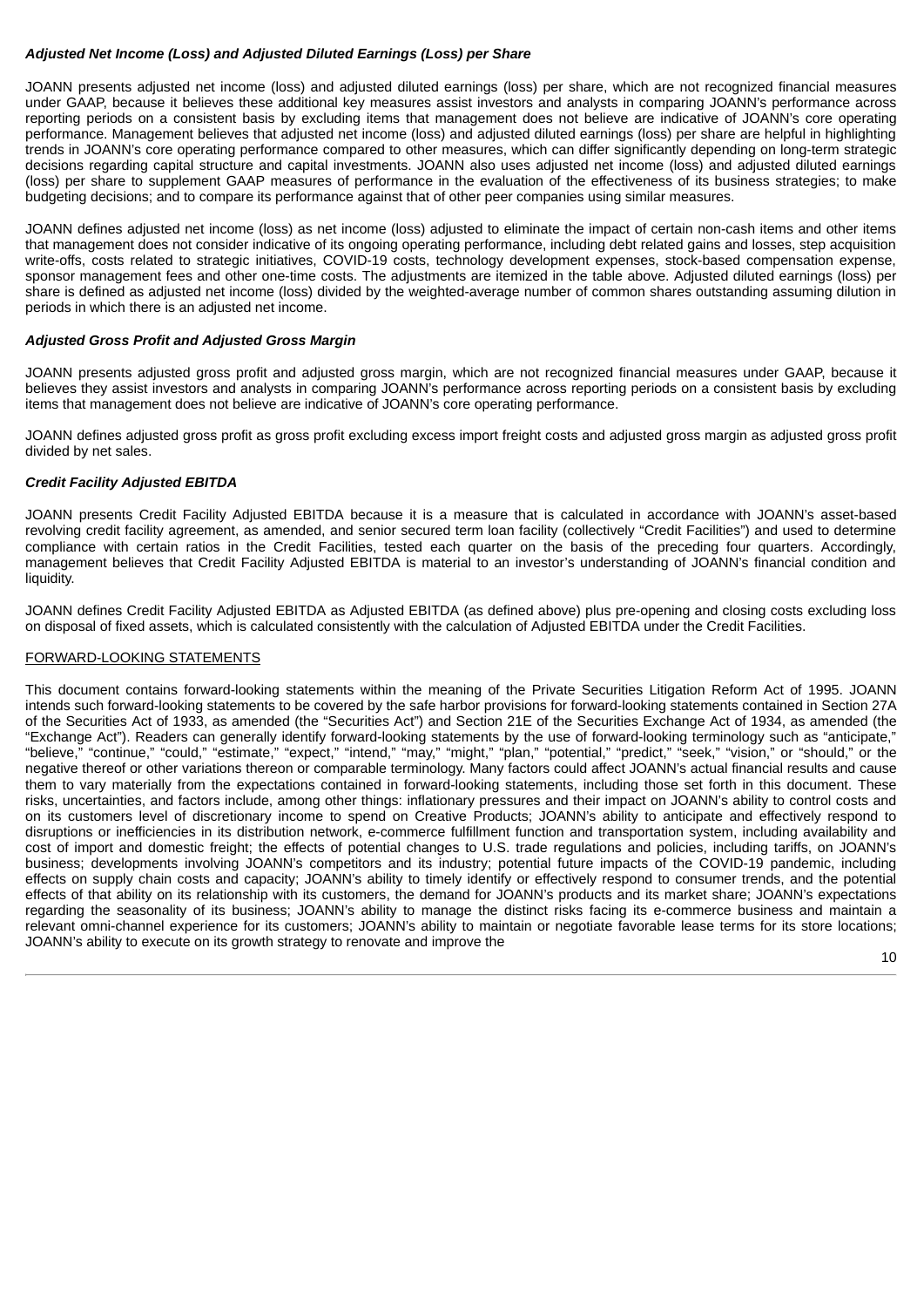# *Adjusted Net Income (Loss) and Adjusted Diluted Earnings (Loss) per Share*

JOANN presents adjusted net income (loss) and adjusted diluted earnings (loss) per share, which are not recognized financial measures under GAAP, because it believes these additional key measures assist investors and analysts in comparing JOANN's performance across reporting periods on a consistent basis by excluding items that management does not believe are indicative of JOANN's core operating performance. Management believes that adjusted net income (loss) and adjusted diluted earnings (loss) per share are helpful in highlighting trends in JOANN's core operating performance compared to other measures, which can differ significantly depending on long-term strategic decisions regarding capital structure and capital investments. JOANN also uses adjusted net income (loss) and adjusted diluted earnings (loss) per share to supplement GAAP measures of performance in the evaluation of the effectiveness of its business strategies; to make budgeting decisions; and to compare its performance against that of other peer companies using similar measures.

JOANN defines adjusted net income (loss) as net income (loss) adjusted to eliminate the impact of certain non-cash items and other items that management does not consider indicative of its ongoing operating performance, including debt related gains and losses, step acquisition write-offs, costs related to strategic initiatives, COVID-19 costs, technology development expenses, stock-based compensation expense, sponsor management fees and other one-time costs. The adjustments are itemized in the table above. Adjusted diluted earnings (loss) per share is defined as adjusted net income (loss) divided by the weighted-average number of common shares outstanding assuming dilution in periods in which there is an adjusted net income.

## *Adjusted Gross Profit and Adjusted Gross Margin*

JOANN presents adjusted gross profit and adjusted gross margin, which are not recognized financial measures under GAAP, because it believes they assist investors and analysts in comparing JOANN's performance across reporting periods on a consistent basis by excluding items that management does not believe are indicative of JOANN's core operating performance.

JOANN defines adjusted gross profit as gross profit excluding excess import freight costs and adjusted gross margin as adjusted gross profit divided by net sales.

## *Credit Facility Adjusted EBITDA*

JOANN presents Credit Facility Adjusted EBITDA because it is a measure that is calculated in accordance with JOANN's asset-based revolving credit facility agreement, as amended, and senior secured term loan facility (collectively "Credit Facilities") and used to determine compliance with certain ratios in the Credit Facilities, tested each quarter on the basis of the preceding four quarters. Accordingly, management believes that Credit Facility Adjusted EBITDA is material to an investor's understanding of JOANN's financial condition and liquidity.

JOANN defines Credit Facility Adjusted EBITDA as Adjusted EBITDA (as defined above) plus pre-opening and closing costs excluding loss on disposal of fixed assets, which is calculated consistently with the calculation of Adjusted EBITDA under the Credit Facilities.

#### FORWARD-LOOKING STATEMENTS

This document contains forward-looking statements within the meaning of the Private Securities Litigation Reform Act of 1995. JOANN intends such forward-looking statements to be covered by the safe harbor provisions for forward-looking statements contained in Section 27A of the Securities Act of 1933, as amended (the "Securities Act") and Section 21E of the Securities Exchange Act of 1934, as amended (the "Exchange Act"). Readers can generally identify forward-looking statements by the use of forward-looking terminology such as "anticipate," "believe," "continue," "could," "estimate," "expect," "intend," "may," "might," "plan," "potential," "predict," "seek," "vision," or "should," or the negative thereof or other variations thereon or comparable terminology. Many factors could affect JOANN's actual financial results and cause them to vary materially from the expectations contained in forward-looking statements, including those set forth in this document. These risks, uncertainties, and factors include, among other things: inflationary pressures and their impact on JOANN's ability to control costs and on its customers level of discretionary income to spend on Creative Products; JOANN's ability to anticipate and effectively respond to disruptions or inefficiencies in its distribution network, e-commerce fulfillment function and transportation system, including availability and cost of import and domestic freight; the effects of potential changes to U.S. trade regulations and policies, including tariffs, on JOANN's business; developments involving JOANN's competitors and its industry; potential future impacts of the COVID-19 pandemic, including effects on supply chain costs and capacity; JOANN's ability to timely identify or effectively respond to consumer trends, and the potential effects of that ability on its relationship with its customers, the demand for JOANN's products and its market share; JOANN's expectations regarding the seasonality of its business; JOANN's ability to manage the distinct risks facing its e-commerce business and maintain a relevant omni-channel experience for its customers; JOANN's ability to maintain or negotiate favorable lease terms for its store locations; JOANN's ability to execute on its growth strategy to renovate and improve the